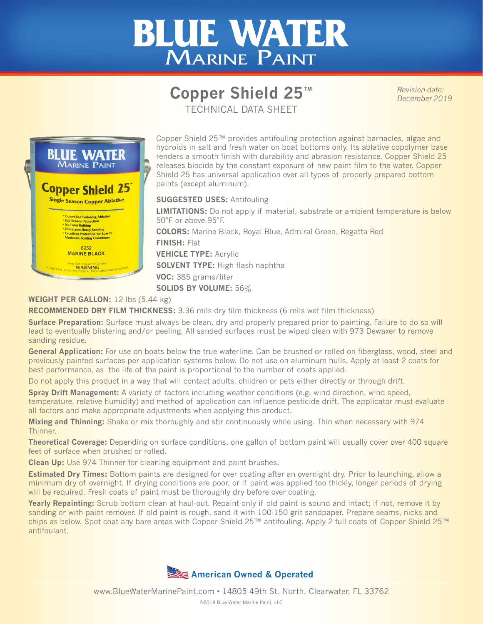## **BLUE WATER** MARINE PAINT

## **Copper Shield 25™** TECHNICAL DATA SHEET

*Revision date: December 2019*



Copper Shield 25™ provides antifouling protection against barnacles, algae and hydroids in salt and fresh water on boat bottoms only. Its ablative copolymer base renders a smooth finish with durability and abrasion resistance. Copper Shield 25 releases biocide by the constant exposure of new paint film to the water. Copper Shield 25 has universal application over all types of properly prepared bottom paints (except aluminum).

**SUGGESTED USES:** Antifouling

**LIMITATIONS:** Do not apply if material, substrate or ambient temperature is below 50°F or above 95°F.

**COLORS:** Marine Black, Royal Blue, Admiral Green, Regatta Red **FINISH:** Flat **VEHICLE TYPE:** Acrylic **SOLVENT TYPE:** High flash naphtha **VOC:** 385 grams/liter **SOLIDS BY VOLUME:** 56%

## **WEIGHT PER GALLON:** 12 lbs (5.44 kg)

**RECOMMENDED DRY FILM THICKNESS:** 3.36 mils dry film thickness (6 mils wet film thickness)

**Surface Preparation:** Surface must always be clean, dry and properly prepared prior to painting. Failure to do so will lead to eventually blistering and/or peeling. All sanded surfaces must be wiped clean with 973 Dewaxer to remove sanding residue.

General Application: For use on boats below the true waterline. Can be brushed or rolled on fiberglass, wood, steel and previously painted surfaces per application systems below. Do not use on aluminum hulls. Apply at least 2 coats for best performance, as the life of the paint is proportional to the number of coats applied.

Do not apply this product in a way that will contact adults, children or pets either directly or through drift.

**Spray Drift Management:** A variety of factors including weather conditions (e.g. wind direction, wind speed, temperature, relative humidity) and method of application can influence pesticide drift. The applicator must evaluate all factors and make appropriate adjustments when applying this product.

**Mixing and Thinning:** Shake or mix thoroughly and stir continuously while using. Thin when necessary with 974 Thinner.

**Theoretical Coverage:** Depending on surface conditions, one gallon of bottom paint will usually cover over 400 square feet of surface when brushed or rolled.

**Clean Up:** Use 974 Thinner for cleaning equipment and paint brushes.

**Estimated Dry Times:** Bottom paints are designed for over coating after an overnight dry. Prior to launching, allow a minimum dry of overnight. If drying conditions are poor, or if paint was applied too thickly, longer periods of drying will be required. Fresh coats of paint must be thoroughly dry before over coating.

**Yearly Repainting:** Scrub bottom clean at haul-out. Repaint only if old paint is sound and intact; if not, remove it by sanding or with paint remover. If old paint is rough, sand it with 100-150 grit sandpaper. Prepare seams, nicks and chips as below. Spot coat any bare areas with Copper Shield 25™ antifouling. Apply 2 full coats of Copper Shield 25™ antifoulant.